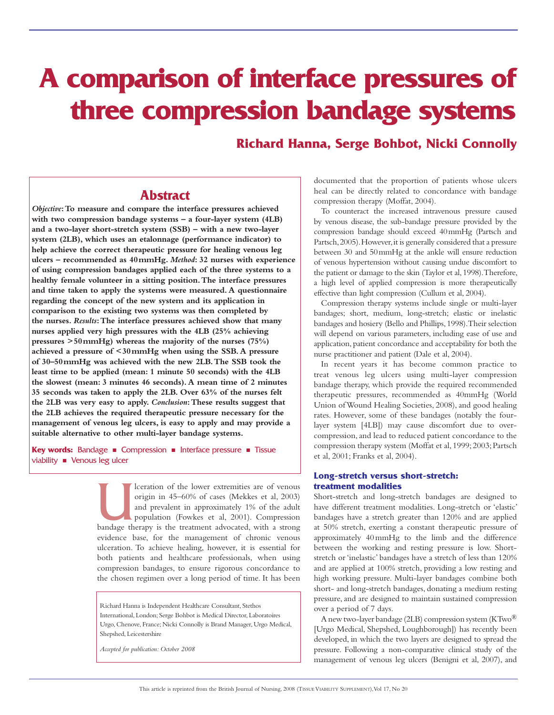# **A comparison of interface pressures of three compression bandage systems**

**Richard Hanna, Serge Bohbot, Nicki Connolly**

# **Abstract**

*Objective***: To measure and compare the interface pressures achieved with two compression bandage systems – a four-layer system (4LB) and a two-layer short-stretch system (SSB) – with a new two-layer system (2LB), which uses an etalonnage (performance indicator) to help achieve the correct therapeutic pressure for healing venous leg ulcers – recommended as 40mmHg.** *Method***: 32 nurses with experience of using compression bandages applied each of the three systems to a healthy female volunteer in a sitting position. The interface pressures and time taken to apply the systems were measured. A questionnaire regarding the concept of the new system and its application in comparison to the existing two systems was then completed by the nurses.** *Results***: The interface pressures achieved show that many nurses applied very high pressures with the 4LB (25% achieving pressures >50mmHg) whereas the majority of the nurses (75%) achieved a pressure of <30mmHg when using the SSB. A pressure of 30–50mmHg was achieved with the new 2LB. The SSB took the least time to be applied (mean: 1 minute 50 seconds) with the 4LB the slowest (mean: 3 minutes 46 seconds). A mean time of 2 minutes 35 seconds was taken to apply the 2LB. Over 63% of the nurses felt the 2LB was very easy to apply.** *Conclusion***: These results suggest that the 2LB achieves the required therapeutic pressure necessary for the management of venous leg ulcers, is easy to apply and may provide a suitable alternative to other multi-layer bandage systems.**

**Key words:** Bandage **n** Compression **n** Interface pressure **n** Tissue viability  $\blacksquare$  Venous leg ulcer

> Iceration of the lower extremities are of venous origin in 45–60% of cases (Mekkes et al, 2003) and prevalent in approximately 1% of the adult population (Fowkes et al, 2001). Compression bandage therapy is the treatment a origin in 45–60% of cases (Mekkes et al, 2003) and prevalent in approximately 1% of the adult population (Fowkes et al, 2001). Compression evidence base, for the management of chronic venous ulceration. To achieve healing, however, it is essential for both patients and healthcare professionals, when using compression bandages, to ensure rigorous concordance to the chosen regimen over a long period of time. It has been

Richard Hanna is Independent Healthcare Consultant, Stethos International, London; Serge Bohbot is Medical Director, Laboratoires Urgo, Chenove, France; Nicki Connolly is Brand Manager, Urgo Medical, Shepshed, Leicestershire

*Accepted for publication: October 2008*

documented that the proportion of patients whose ulcers heal can be directly related to concordance with bandage compression therapy (Moffat, 2004).

To counteract the increased intravenous pressure caused by venous disease, the sub-bandage pressure provided by the compression bandage should exceed 40mmHg (Partsch and Partsch, 2005). However, it is generally considered that a pressure between 30 and 50mmHg at the ankle will ensure reduction of venous hypertension without causing undue discomfort to the patient or damage to the skin (Taylor et al, 1998). Therefore, a high level of applied compression is more therapeutically effective than light compression (Cullum et al, 2004).

Compression therapy systems include single or multi-layer bandages; short, medium, long-stretch; elastic or inelastic bandages and hosiery (Bello and Phillips, 1998). Their selection will depend on various parameters, including ease of use and application, patient concordance and acceptability for both the nurse practitioner and patient (Dale et al, 2004).

In recent years it has become common practice to treat venous leg ulcers using multi-layer compression bandage therapy, which provide the required recommended therapeutic pressures, recommended as 40mmHg (World Union of Wound Healing Societies, 2008), and good healing rates. However, some of these bandages (notably the fourlayer system [4LB]) may cause discomfort due to overcompression, and lead to reduced patient concordance to the compression therapy system (Moffat et al, 1999; 2003; Partsch et al, 2001; Franks et al, 2004).

#### **Long-stretch versus short-stretch: treatment modalities**

Short-stretch and long-stretch bandages are designed to have different treatment modalities. Long-stretch or 'elastic' bandages have a stretch greater than 120% and are applied at 50% stretch, exerting a constant therapeutic pressure of approximately 40mmHg to the limb and the difference between the working and resting pressure is low. Shortstretch or 'inelastic' bandages have a stretch of less than 120% and are applied at 100% stretch, providing a low resting and high working pressure. Multi-layer bandages combine both short- and long-stretch bandages, donating a medium resting pressure, and are designed to maintain sustained compression over a period of 7 days.

A new two-layer bandage (2LB) compression system (KTwo® [Urgo Medical, Shepshed, Loughborough]) has recently been developed, in which the two layers are designed to spread the pressure. Following a non-comparative clinical study of the management of venous leg ulcers (Benigni et al, 2007), and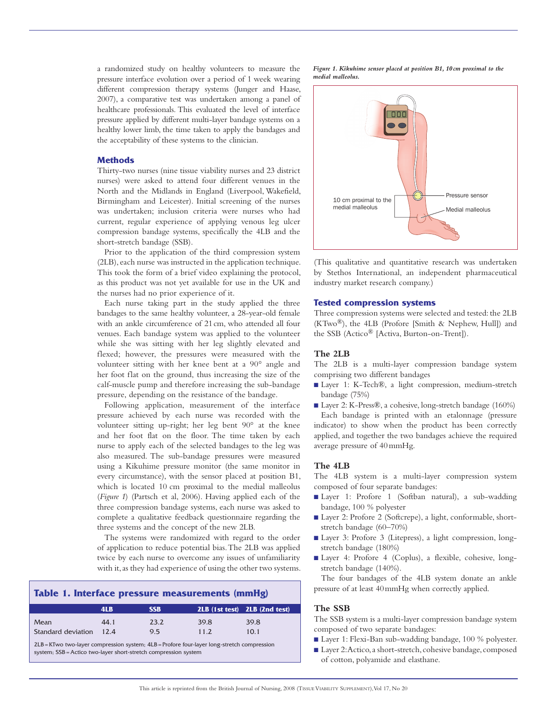a randomized study on healthy volunteers to measure the pressure interface evolution over a period of 1 week wearing different compression therapy systems (Junger and Haase, 2007), a comparative test was undertaken among a panel of healthcare professionals. This evaluated the level of interface pressure applied by different multi-layer bandage systems on a healthy lower limb, the time taken to apply the bandages and the acceptability of these systems to the clinician.

## **Methods**

Thirty-two nurses (nine tissue viability nurses and 23 district nurses) were asked to attend four different venues in the North and the Midlands in England (Liverpool, Wakefield, Birmingham and Leicester). Initial screening of the nurses was undertaken; inclusion criteria were nurses who had current, regular experience of applying venous leg ulcer compression bandage systems, specifically the 4LB and the short-stretch bandage (SSB).

Prior to the application of the third compression system (2LB), each nurse was instructed in the application technique. This took the form of a brief video explaining the protocol, as this product was not yet available for use in the UK and the nurses had no prior experience of it.

Each nurse taking part in the study applied the three bandages to the same healthy volunteer, a 28-year-old female with an ankle circumference of 21cm, who attended all four venues. Each bandage system was applied to the volunteer while she was sitting with her leg slightly elevated and flexed; however, the pressures were measured with the volunteer sitting with her knee bent at a 90° angle and her foot flat on the ground, thus increasing the size of the calf-muscle pump and therefore increasing the sub-bandage pressure, depending on the resistance of the bandage.

Following application, measurement of the interface pressure achieved by each nurse was recorded with the volunteer sitting up-right; her leg bent 90° at the knee and her foot flat on the floor. The time taken by each nurse to apply each of the selected bandages to the leg was also measured. The sub-bandage pressures were measured using a Kikuhime pressure monitor (the same monitor in every circumstance), with the sensor placed at position B1, which is located 10 cm proximal to the medial malleolus (*Figure 1*) (Partsch et al, 2006). Having applied each of the three compression bandage systems, each nurse was asked to complete a qualitative feedback questionnaire regarding the three systems and the concept of the new 2LB.

The systems were randomized with regard to the order of application to reduce potential bias. The 2LB was applied twice by each nurse to overcome any issues of unfamiliarity with it, as they had experience of using the other two systems.

| Table 1. Interface pressure measurements (mmHg) |      |             |               |                               |  |
|-------------------------------------------------|------|-------------|---------------|-------------------------------|--|
|                                                 | 4LB  | <b>SSB</b>  |               | 2LB (1st test) 2LB (2nd test) |  |
| Mean<br>Standard deviation 12.4                 | 44.1 | 23.2<br>9.5 | 39.8<br>11.2. | 39.8<br>10.1                  |  |

 $2LB = KTw$  two-layer compression system:  $4LB =$  Profore four-layer long-stretch compression system; SSB=Actico two-layer short-stretch compression system





(This qualitative and quantitative research was undertaken by Stethos International, an independent pharmaceutical industry market research company.)

## **Tested compression systems**

Three compression systems were selected and tested: the 2LB  $(KTwo^{\circledR})$ , the 4LB (Profore [Smith & Nephew, Hull]) and the SSB (Actico® [Activa, Burton-on-Trent]).

## **The 2LB**

The 2LB is a multi-layer compression bandage system comprising two different bandages

- Layer 1: K-Tech®, a light compression, medium-stretch bandage (75%)
- Layer 2: K-Press®, a cohesive, long-stretch bandage (160%) Each bandage is printed with an etalonnage (pressure indicator) to show when the product has been correctly applied, and together the two bandages achieve the required average pressure of 40mmHg.

#### **The 4LB**

The 4LB system is a multi-layer compression system composed of four separate bandages:

- Layer 1: Profore 1 (Softban natural), a sub-wadding bandage, 100 % polyester
- Layer 2: Profore 2 (Softcrepe), a light, conformable, shortstretch bandage (60–70%)
- Layer 3: Profore 3 (Litepress), a light compression, longstretch bandage (180%)
- Layer 4: Profore 4 (Coplus), a flexible, cohesive, longstretch bandage (140%).

The four bandages of the 4LB system donate an ankle pressure of at least 40mmHg when correctly applied.

## **The SSB**

The SSB system is a multi-layer compression bandage system composed of two separate bandages:

- Layer 1: Flexi-Ban sub-wadding bandage, 100 % polyester.
- Layer 2: Actico, a short-stretch, cohesive bandage, composed of cotton, polyamide and elasthane.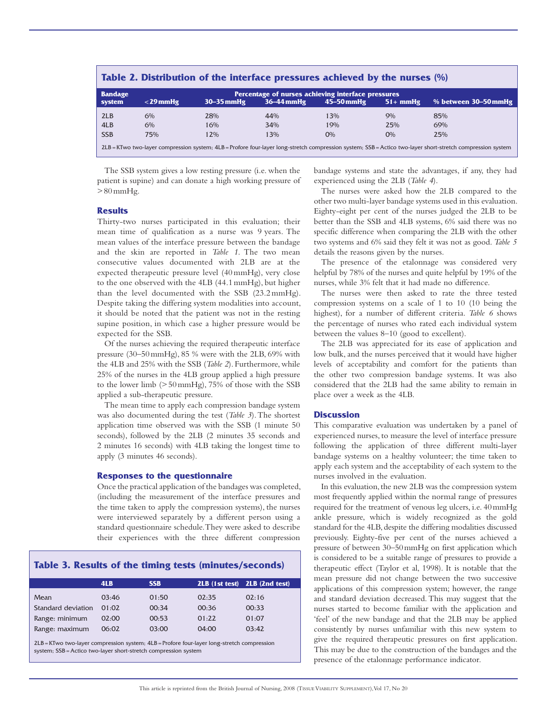| Table 2. Distribution of the interface pressures achieved by the nurses (%) |             |                |                                                                      |                |           |                                                                                                                                                            |
|-----------------------------------------------------------------------------|-------------|----------------|----------------------------------------------------------------------|----------------|-----------|------------------------------------------------------------------------------------------------------------------------------------------------------------|
| <b>Bandage</b><br>system                                                    | $<$ 29 mmHg | $30 - 35$ mmHg | Percentage of nurses achieving interface pressures<br>$36 - 44$ mmHg | $45 - 50$ mmHg | $51+mmHg$ | % between 30–50 mmHg                                                                                                                                       |
| 2LB                                                                         | 6%          | 28%            | 44%                                                                  | 13%            | 9%        | 85%                                                                                                                                                        |
| 4LB                                                                         | 6%          | 16%            | 34%                                                                  | 19%            | 25%       | 69%                                                                                                                                                        |
| <b>SSB</b>                                                                  | 75%         | 12%            | 13%                                                                  | $O\%$          | O%        | 25%                                                                                                                                                        |
|                                                                             |             |                |                                                                      |                |           | 2LB = KTwo two-layer compression system; 4LB = Profore four-layer long-stretch compression system; SSB = Actico two-layer short-stretch compression system |

The SSB system gives a low resting pressure (i.e. when the patient is supine) and can donate a high working pressure of  $>80$  mmHg.

#### **Results**

Thirty-two nurses participated in this evaluation; their mean time of qualification as a nurse was 9 years. The mean values of the interface pressure between the bandage and the skin are reported in *Table 1*. The two mean consecutive values documented with 2LB are at the expected therapeutic pressure level (40mmHg), very close to the one observed with the 4LB (44.1mmHg), but higher than the level documented with the SSB (23.2mmHg). Despite taking the differing system modalities into account, it should be noted that the patient was not in the resting supine position, in which case a higher pressure would be expected for the SSB.

Of the nurses achieving the required therapeutic interface pressure (30–50mmHg), 85 % were with the 2LB, 69% with the 4LB and 25% with the SSB (*Table 2*). Furthermore, while 25% of the nurses in the 4LB group applied a high pressure to the lower limb (>50mmHg), 75% of those with the SSB applied a sub-therapeutic pressure.

The mean time to apply each compression bandage system was also documented during the test (*Table 3*). The shortest application time observed was with the SSB (1 minute 50 seconds), followed by the 2LB (2 minutes 35 seconds and 2 minutes 16 seconds) with 4LB taking the longest time to apply (3 minutes 46 seconds).

#### **Responses to the questionnaire**

Once the practical application of the bandages was completed, (including the measurement of the interface pressures and the time taken to apply the compression systems), the nurses were interviewed separately by a different person using a standard questionnaire schedule. They were asked to describe their experiences with the three different compression

#### **Table 3. Results of the timing tests (minutes/seconds)**

|                    | 4LB   | <b>SSB</b> |       | 2LB (1st test) 2LB (2nd test) |
|--------------------|-------|------------|-------|-------------------------------|
| Mean               | 03:46 | 01:50      | 02:35 | 02:16                         |
| Standard deviation | 01:02 | 00:34      | 00:36 | 00:33                         |
| Range: minimum     | 02:00 | 00:53      | 01:22 | 01:07                         |
| Range: maximum     | 06:02 | 03:00      | 04:00 | 03:42                         |

2LB=KTwo two-layer compression system; 4LB=Profore four-layer long-stretch compression system; SSB=Actico two-layer short-stretch compression system

bandage systems and state the advantages, if any, they had experienced using the 2LB (*Table 4*).

The nurses were asked how the 2LB compared to the other two multi-layer bandage systems used in this evaluation. Eighty-eight per cent of the nurses judged the 2LB to be better than the SSB and 4LB systems, 6% said there was no specific difference when comparing the 2LB with the other two systems and 6% said they felt it was not as good. *Table 5* details the reasons given by the nurses.

The presence of the etalonnage was considered very helpful by 78% of the nurses and quite helpful by 19% of the nurses, while 3% felt that it had made no difference.

The nurses were then asked to rate the three tested compression systems on a scale of 1 to 10 (10 being the highest), for a number of different criteria. *Table 6* shows the percentage of nurses who rated each individual system between the values 8–10 (good to excellent).

The 2LB was appreciated for its ease of application and low bulk, and the nurses perceived that it would have higher levels of acceptability and comfort for the patients than the other two compression bandage systems. It was also considered that the 2LB had the same ability to remain in place over a week as the 4LB.

#### **Discussion**

This comparative evaluation was undertaken by a panel of experienced nurses, to measure the level of interface pressure following the application of three different multi-layer bandage systems on a healthy volunteer; the time taken to apply each system and the acceptability of each system to the nurses involved in the evaluation.

In this evaluation, the new 2LB was the compression system most frequently applied within the normal range of pressures required for the treatment of venous leg ulcers, i.e. 40mmHg ankle pressure, which is widely recognized as the gold standard for the 4LB, despite the differing modalities discussed previously. Eighty-five per cent of the nurses achieved a pressure of between 30–50mmHg on first application which is considered to be a suitable range of pressures to provide a therapeutic effect (Taylor et al, 1998). It is notable that the mean pressure did not change between the two successive applications of this compression system; however, the range and standard deviation decreased. This may suggest that the nurses started to become familiar with the application and 'feel' of the new bandage and that the 2LB may be applied consistently by nurses unfamiliar with this new system to give the required therapeutic pressures on first application. This may be due to the construction of the bandages and the presence of the etalonnage performance indicator.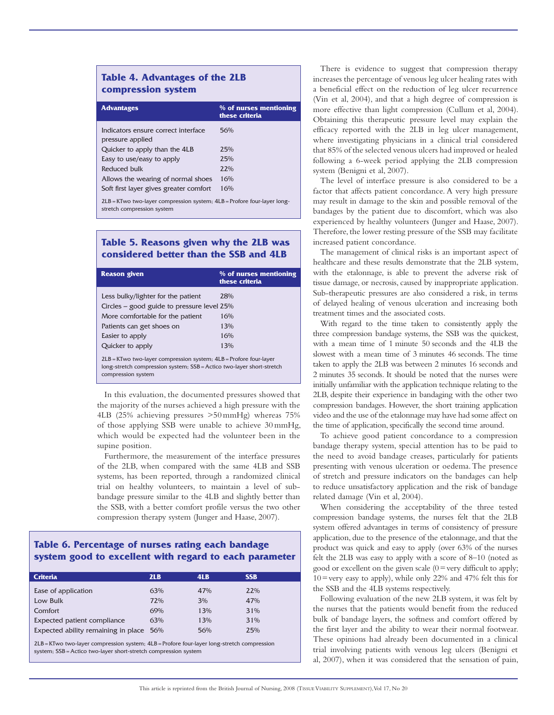# **Table 4. Advantages of the 2LB compression system**

| <b>Advantages</b>                                                                                         | % of nurses mentioning<br>these criteria |  |
|-----------------------------------------------------------------------------------------------------------|------------------------------------------|--|
| Indicators ensure correct interface<br>pressure applied                                                   | 56%                                      |  |
| Quicker to apply than the 4LB                                                                             | 25%                                      |  |
| Easy to use/easy to apply                                                                                 | 25%                                      |  |
| Reduced bulk                                                                                              | $2.2\%$                                  |  |
| Allows the wearing of normal shoes                                                                        | 16%                                      |  |
| Soft first layer gives greater comfort                                                                    | 16%                                      |  |
| $2LB = KTwo$ two-layer compression system; $4LB =$ Profore four-layer long-<br>stretch compression system |                                          |  |

**Table 5. Reasons given why the 2LB was considered better than the SSB and 4LB** 

| <b>Reason given</b>                                                                                                                                                  | % of nurses mentioning<br>these criteria |  |  |
|----------------------------------------------------------------------------------------------------------------------------------------------------------------------|------------------------------------------|--|--|
| Less bulky/lighter for the patient                                                                                                                                   | 28%                                      |  |  |
| Circles $-$ good guide to pressure level 25%                                                                                                                         |                                          |  |  |
| More comfortable for the patient                                                                                                                                     | 16%                                      |  |  |
| Patients can get shoes on                                                                                                                                            | 13%                                      |  |  |
| Easier to apply                                                                                                                                                      | 16%                                      |  |  |
| Quicker to apply                                                                                                                                                     | 13%                                      |  |  |
| $2LB = KTwo$ two-layer compression system; $4LB =$ Profore four-layer<br>long-stretch compression system; SSB = Actico two-layer short-stretch<br>compression system |                                          |  |  |

In this evaluation, the documented pressures showed that the majority of the nurses achieved a high pressure with the 4LB (25% achieving pressures >50mmHg) whereas 75% of those applying SSB were unable to achieve 30mmHg, which would be expected had the volunteer been in the supine position.

Furthermore, the measurement of the interface pressures of the 2LB, when compared with the same 4LB and SSB systems, has been reported, through a randomized clinical trial on healthy volunteers, to maintain a level of subbandage pressure similar to the 4LB and slightly better than the SSB, with a better comfort profile versus the two other compression therapy system (Junger and Haase, 2007).

# **Table 6. Percentage of nurses rating each bandage system good to excellent with regard to each parameter**

| <b>Criteria</b>                         | 2LB | 4LB | <b>SSB</b> |
|-----------------------------------------|-----|-----|------------|
|                                         |     |     |            |
| Ease of application                     | 63% | 47% | 22%        |
| Low Bulk                                | 72% | 3%  | 47%        |
| Comfort                                 | 69% | 13% | 31%        |
| Expected patient compliance             | 63% | 13% | 31%        |
| Expected ability remaining in place 56% |     | 56% | 25%        |
|                                         |     |     |            |

2LB=KTwo two-layer compression system; 4LB=Profore four-layer long-stretch compression system; SSB=Actico two-layer short-stretch compression system

There is evidence to suggest that compression therapy increases the percentage of venous leg ulcer healing rates with a beneficial effect on the reduction of leg ulcer recurrence (Vin et al, 2004), and that a high degree of compression is more effective than light compression (Cullum et al, 2004). Obtaining this therapeutic pressure level may explain the efficacy reported with the 2LB in leg ulcer management, where investigating physicians in a clinical trial considered that 85% of the selected venous ulcers had improved or healed following a 6-week period applying the 2LB compression system (Benigni et al, 2007).

The level of interface pressure is also considered to be a factor that affects patient concordance. A very high pressure may result in damage to the skin and possible removal of the bandages by the patient due to discomfort, which was also experienced by healthy volunteers (Junger and Haase, 2007). Therefore, the lower resting pressure of the SSB may facilitate increased patient concordance.

The management of clinical risks is an important aspect of healthcare and these results demonstrate that the 2LB system, with the etalonnage, is able to prevent the adverse risk of tissue damage, or necrosis, caused by inappropriate application. Sub-therapeutic pressures are also considered a risk, in terms of delayed healing of venous ulceration and increasing both treatment times and the associated costs.

With regard to the time taken to consistently apply the three compression bandage systems, the SSB was the quickest, with a mean time of 1 minute 50 seconds and the 4LB the slowest with a mean time of 3 minutes 46 seconds. The time taken to apply the 2LB was between 2 minutes 16 seconds and 2 minutes 35 seconds. It should be noted that the nurses were initially unfamiliar with the application technique relating to the 2LB, despite their experience in bandaging with the other two compression bandages. However, the short training application video and the use of the etalonnage may have had some affect on the time of application, specifically the second time around.

To achieve good patient concordance to a compression bandage therapy system, special attention has to be paid to the need to avoid bandage creases, particularly for patients presenting with venous ulceration or oedema. The presence of stretch and pressure indicators on the bandages can help to reduce unsatisfactory application and the risk of bandage related damage (Vin et al, 2004).

When considering the acceptability of the three tested compression bandage systems, the nurses felt that the 2LB system offered advantages in terms of consistency of pressure application, due to the presence of the etalonnage, and that the product was quick and easy to apply (over 63% of the nurses felt the 2LB was easy to apply with a score of 8–10 (noted as good or excellent on the given scale  $(0=$ very difficult to apply;  $10$  = very easy to apply), while only 22% and 47% felt this for the SSB and the 4LB systems respectively.

Following evaluation of the new 2LB system, it was felt by the nurses that the patients would benefit from the reduced bulk of bandage layers, the softness and comfort offered by the first layer and the ability to wear their normal footwear. These opinions had already been documented in a clinical trial involving patients with venous leg ulcers (Benigni et al, 2007), when it was considered that the sensation of pain,